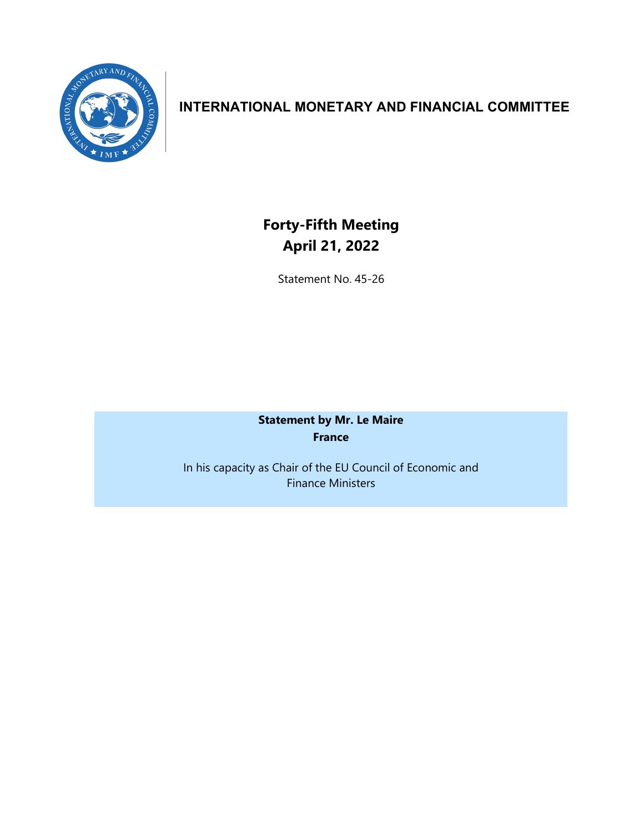

## **INTERNATIONAL MONETARY AND FINANCIAL COMMITTEE**

## **Forty-Fifth Meeting April 21, 2022**

Statement No. 45-26

**Statement by Mr. Le Maire France**

In his capacity as Chair of the EU Council of Economic and Finance Ministers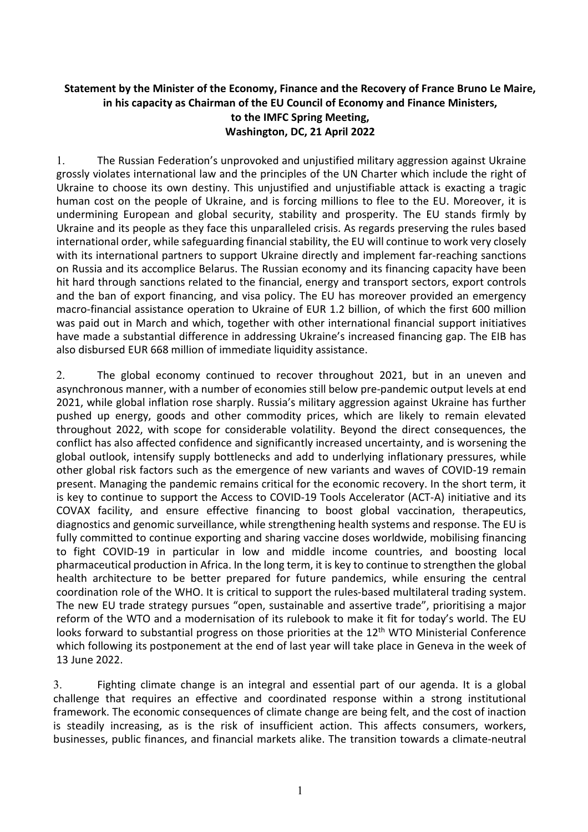## **Statement by the Minister of the Economy, Finance and the Recovery of France Bruno Le Maire, in his capacity as Chairman of the EU Council of Economy and Finance Ministers, to the IMFC Spring Meeting, Washington, DC, 21 April 2022**

1. The Russian Federation's unprovoked and unjustified military aggression against Ukraine grossly violates international law and the principles of the UN Charter which include the right of Ukraine to choose its own destiny. This unjustified and unjustifiable attack is exacting a tragic human cost on the people of Ukraine, and is forcing millions to flee to the EU. Moreover, it is undermining European and global security, stability and prosperity. The EU stands firmly by Ukraine and its people as they face this unparalleled crisis. As regards preserving the rules based international order, while safeguarding financial stability, the EU will continue to work very closely with its international partners to support Ukraine directly and implement far-reaching sanctions on Russia and its accomplice Belarus. The Russian economy and its financing capacity have been hit hard through sanctions related to the financial, energy and transport sectors, export controls and the ban of export financing, and visa policy. The EU has moreover provided an emergency macro-financial assistance operation to Ukraine of EUR 1.2 billion, of which the first 600 million was paid out in March and which, together with other international financial support initiatives have made a substantial difference in addressing Ukraine's increased financing gap. The EIB has also disbursed EUR 668 million of immediate liquidity assistance.

2. The global economy continued to recover throughout 2021, but in an uneven and asynchronous manner, with a number of economies still below pre-pandemic output levels at end 2021, while global inflation rose sharply. Russia's military aggression against Ukraine has further pushed up energy, goods and other commodity prices, which are likely to remain elevated throughout 2022, with scope for considerable volatility. Beyond the direct consequences, the conflict has also affected confidence and significantly increased uncertainty, and is worsening the global outlook, intensify supply bottlenecks and add to underlying inflationary pressures, while other global risk factors such as the emergence of new variants and waves of COVID-19 remain present. Managing the pandemic remains critical for the economic recovery. In the short term, it is key to continue to support the Access to COVID-19 Tools Accelerator (ACT-A) initiative and its COVAX facility, and ensure effective financing to boost global vaccination, therapeutics, diagnostics and genomic surveillance, while strengthening health systems and response. The EU is fully committed to continue exporting and sharing vaccine doses worldwide, mobilising financing to fight COVID-19 in particular in low and middle income countries, and boosting local pharmaceutical production in Africa. In the long term, it is key to continue to strengthen the global health architecture to be better prepared for future pandemics, while ensuring the central coordination role of the WHO. It is critical to support the rules-based multilateral trading system. The new EU trade strategy pursues "open, sustainable and assertive trade", prioritising a major reform of the WTO and a modernisation of its rulebook to make it fit for today's world. The EU looks forward to substantial progress on those priorities at the  $12<sup>th</sup>$  WTO Ministerial Conference which following its postponement at the end of last year will take place in Geneva in the week of 13 June 2022.

3. Fighting climate change is an integral and essential part of our agenda. It is a global challenge that requires an effective and coordinated response within a strong institutional framework. The economic consequences of climate change are being felt, and the cost of inaction is steadily increasing, as is the risk of insufficient action. This affects consumers, workers, businesses, public finances, and financial markets alike. The transition towards a climate-neutral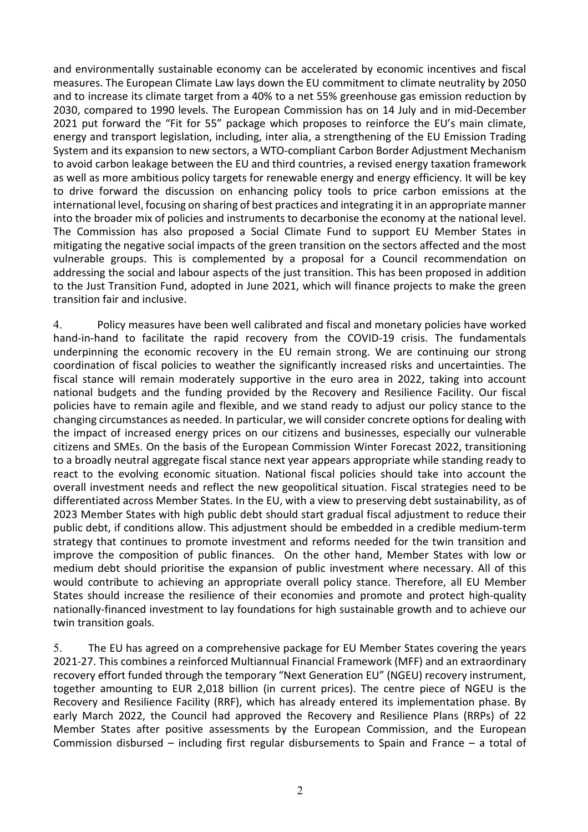and environmentally sustainable economy can be accelerated by economic incentives and fiscal measures. The European Climate Law lays down the EU commitment to climate neutrality by 2050 and to increase its climate target from a 40% to a net 55% greenhouse gas emission reduction by 2030, compared to 1990 levels. The European Commission has on 14 July and in mid-December 2021 put forward the "Fit for 55" package which proposes to reinforce the EU's main climate, energy and transport legislation, including, inter alia, a strengthening of the EU Emission Trading System and its expansion to new sectors, a WTO-compliant Carbon Border Adjustment Mechanism to avoid carbon leakage between the EU and third countries, a revised energy taxation framework as well as more ambitious policy targets for renewable energy and energy efficiency. It will be key to drive forward the discussion on enhancing policy tools to price carbon emissions at the international level, focusing on sharing of best practices and integrating it in an appropriate manner into the broader mix of policies and instruments to decarbonise the economy at the national level. The Commission has also proposed a Social Climate Fund to support EU Member States in mitigating the negative social impacts of the green transition on the sectors affected and the most vulnerable groups. This is complemented by a proposal for a Council recommendation on addressing the social and labour aspects of the just transition. This has been proposed in addition to the Just Transition Fund, adopted in June 2021, which will finance projects to make the green transition fair and inclusive.

4. Policy measures have been well calibrated and fiscal and monetary policies have worked hand-in-hand to facilitate the rapid recovery from the COVID-19 crisis. The fundamentals underpinning the economic recovery in the EU remain strong. We are continuing our strong coordination of fiscal policies to weather the significantly increased risks and uncertainties. The fiscal stance will remain moderately supportive in the euro area in 2022, taking into account national budgets and the funding provided by the Recovery and Resilience Facility. Our fiscal policies have to remain agile and flexible, and we stand ready to adjust our policy stance to the changing circumstances as needed. In particular, we will consider concrete options for dealing with the impact of increased energy prices on our citizens and businesses, especially our vulnerable citizens and SMEs. On the basis of the European Commission Winter Forecast 2022, transitioning to a broadly neutral aggregate fiscal stance next year appears appropriate while standing ready to react to the evolving economic situation. National fiscal policies should take into account the overall investment needs and reflect the new geopolitical situation. Fiscal strategies need to be differentiated across Member States. In the EU, with a view to preserving debt sustainability, as of 2023 Member States with high public debt should start gradual fiscal adjustment to reduce their public debt, if conditions allow. This adjustment should be embedded in a credible medium-term strategy that continues to promote investment and reforms needed for the twin transition and improve the composition of public finances. On the other hand, Member States with low or medium debt should prioritise the expansion of public investment where necessary. All of this would contribute to achieving an appropriate overall policy stance. Therefore, all EU Member States should increase the resilience of their economies and promote and protect high-quality nationally-financed investment to lay foundations for high sustainable growth and to achieve our twin transition goals.

5. The EU has agreed on a comprehensive package for EU Member States covering the years 2021-27. This combines a reinforced Multiannual Financial Framework (MFF) and an extraordinary recovery effort funded through the temporary "Next Generation EU" (NGEU) recovery instrument, together amounting to EUR 2,018 billion (in current prices). The centre piece of NGEU is the Recovery and Resilience Facility (RRF), which has already entered its implementation phase. By early March 2022, the Council had approved the Recovery and Resilience Plans (RRPs) of 22 Member States after positive assessments by the European Commission, and the European Commission disbursed – including first regular disbursements to Spain and France – a total of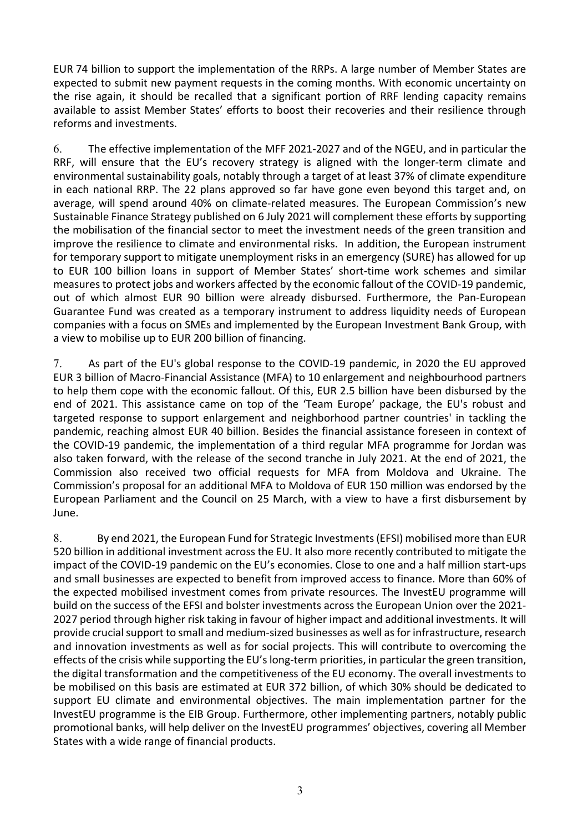EUR 74 billion to support the implementation of the RRPs. A large number of Member States are expected to submit new payment requests in the coming months. With economic uncertainty on the rise again, it should be recalled that a significant portion of RRF lending capacity remains available to assist Member States' efforts to boost their recoveries and their resilience through reforms and investments.

6. The effective implementation of the MFF 2021-2027 and of the NGEU, and in particular the RRF, will ensure that the EU's recovery strategy is aligned with the longer-term climate and environmental sustainability goals, notably through a target of at least 37% of climate expenditure in each national RRP. The 22 plans approved so far have gone even beyond this target and, on average, will spend around 40% on climate-related measures. The European Commission's new Sustainable Finance Strategy published on 6 July 2021 will complement these efforts by supporting the mobilisation of the financial sector to meet the investment needs of the green transition and improve the resilience to climate and environmental risks. In addition, the European instrument for temporary support to mitigate unemployment risks in an emergency (SURE) has allowed for up to EUR 100 billion loans in support of Member States' short-time work schemes and similar measures to protect jobs and workers affected by the economic fallout of the COVID-19 pandemic, out of which almost EUR 90 billion were already disbursed. Furthermore, the Pan-European Guarantee Fund was created as a temporary instrument to address liquidity needs of European companies with a focus on SMEs and implemented by the European Investment Bank Group, with a view to mobilise up to EUR 200 billion of financing.

7. As part of the EU's global response to the COVID-19 pandemic, in 2020 the EU approved EUR 3 billion of Macro-Financial Assistance (MFA) to 10 enlargement and neighbourhood partners to help them cope with the economic fallout. Of this, EUR 2.5 billion have been disbursed by the end of 2021. This assistance came on top of the 'Team Europe' package, the EU's robust and targeted response to support enlargement and neighborhood partner countries' in tackling the pandemic, reaching almost EUR 40 billion. Besides the financial assistance foreseen in context of the COVID-19 pandemic, the implementation of a third regular MFA programme for Jordan was also taken forward, with the release of the second tranche in July 2021. At the end of 2021, the Commission also received two official requests for MFA from Moldova and Ukraine. The Commission's proposal for an additional MFA to Moldova of EUR 150 million was endorsed by the European Parliament and the Council on 25 March, with a view to have a first disbursement by June.

8. By end 2021, the European Fund for Strategic Investments (EFSI) mobilised more than EUR 520 billion in additional investment across the EU. It also more recently contributed to mitigate the impact of the COVID-19 pandemic on the EU's economies. Close to one and a half million start-ups and small businesses are expected to benefit from improved access to finance. More than 60% of the expected mobilised investment comes from private resources. The InvestEU programme will build on the success of the EFSI and bolster investments across the European Union over the 2021- 2027 period through higher risk taking in favour of higher impact and additional investments. It will provide crucial support to small and medium-sized businesses as well as for infrastructure, research and innovation investments as well as for social projects. This will contribute to overcoming the effects of the crisis while supporting the EU's long-term priorities, in particular the green transition, the digital transformation and the competitiveness of the EU economy. The overall investments to be mobilised on this basis are estimated at EUR 372 billion, of which 30% should be dedicated to support EU climate and environmental objectives. The main implementation partner for the InvestEU programme is the EIB Group. Furthermore, other implementing partners, notably public promotional banks, will help deliver on the InvestEU programmes' objectives, covering all Member States with a wide range of financial products.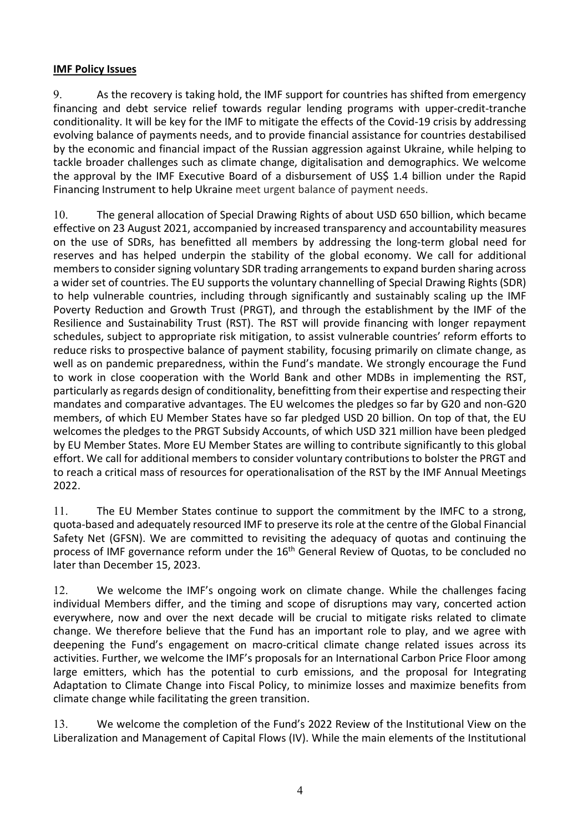## **IMF Policy Issues**

9. As the recovery is taking hold, the IMF support for countries has shifted from emergency financing and debt service relief towards regular lending programs with upper-credit-tranche conditionality. It will be key for the IMF to mitigate the effects of the Covid-19 crisis by addressing evolving balance of payments needs, and to provide financial assistance for countries destabilised by the economic and financial impact of the Russian aggression against Ukraine, while helping to tackle broader challenges such as climate change, digitalisation and demographics. We welcome the approval by the IMF Executive Board of a disbursement of US\$ 1.4 billion under the Rapid Financing Instrument to help Ukraine meet urgent balance of payment needs.

10. The general allocation of Special Drawing Rights of about USD 650 billion, which became effective on 23 August 2021, accompanied by increased transparency and accountability measures on the use of SDRs, has benefitted all members by addressing the long-term global need for reserves and has helped underpin the stability of the global economy. We call for additional members to consider signing voluntary SDR trading arrangements to expand burden sharing across a wider set of countries. The EU supports the voluntary channelling of Special Drawing Rights (SDR) to help vulnerable countries, including through significantly and sustainably scaling up the IMF Poverty Reduction and Growth Trust (PRGT), and through the establishment by the IMF of the Resilience and Sustainability Trust (RST). The RST will provide financing with longer repayment schedules, subject to appropriate risk mitigation, to assist vulnerable countries' reform efforts to reduce risks to prospective balance of payment stability, focusing primarily on climate change, as well as on pandemic preparedness, within the Fund's mandate. We strongly encourage the Fund to work in close cooperation with the World Bank and other MDBs in implementing the RST, particularly as regards design of conditionality, benefitting from their expertise and respecting their mandates and comparative advantages. The EU welcomes the pledges so far by G20 and non-G20 members, of which EU Member States have so far pledged USD 20 billion. On top of that, the EU welcomes the pledges to the PRGT Subsidy Accounts, of which USD 321 million have been pledged by EU Member States. More EU Member States are willing to contribute significantly to this global effort. We call for additional members to consider voluntary contributions to bolster the PRGT and to reach a critical mass of resources for operationalisation of the RST by the IMF Annual Meetings 2022.

11. The EU Member States continue to support the commitment by the IMFC to a strong, quota-based and adequately resourced IMF to preserve its role at the centre of the Global Financial Safety Net (GFSN). We are committed to revisiting the adequacy of quotas and continuing the process of IMF governance reform under the  $16<sup>th</sup>$  General Review of Quotas, to be concluded no later than December 15, 2023.

12. We welcome the IMF's ongoing work on climate change. While the challenges facing individual Members differ, and the timing and scope of disruptions may vary, concerted action everywhere, now and over the next decade will be crucial to mitigate risks related to climate change. We therefore believe that the Fund has an important role to play, and we agree with deepening the Fund's engagement on macro-critical climate change related issues across its activities. Further, we welcome the IMF's proposals for an International Carbon Price Floor among large emitters, which has the potential to curb emissions, and the proposal for Integrating Adaptation to Climate Change into Fiscal Policy, to minimize losses and maximize benefits from climate change while facilitating the green transition.

13. We welcome the completion of the Fund's 2022 Review of the Institutional View on the Liberalization and Management of Capital Flows (IV). While the main elements of the Institutional